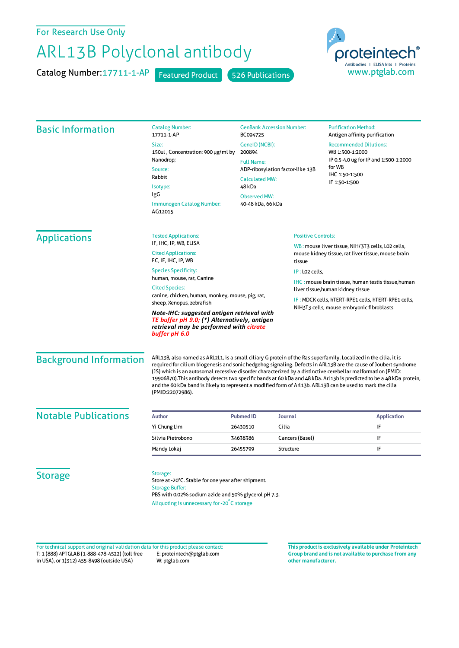For Research Use Only

## ARL13B Polyclonal antibody

Catalog Number: 17711-1-AP Featured Product 526 Publications



| <b>Basic Information</b>      | <b>Catalog Number:</b><br>17711-1-AP                                                                                                                                                                                                                                                                                                                                                                                                                                                                                                                                                                            | BC094725                                                                          | <b>GenBank Accession Number:</b> | <b>Purification Method:</b>                                                                                                                            |  |
|-------------------------------|-----------------------------------------------------------------------------------------------------------------------------------------------------------------------------------------------------------------------------------------------------------------------------------------------------------------------------------------------------------------------------------------------------------------------------------------------------------------------------------------------------------------------------------------------------------------------------------------------------------------|-----------------------------------------------------------------------------------|----------------------------------|--------------------------------------------------------------------------------------------------------------------------------------------------------|--|
|                               | Size:<br>150ul, Concentration: 900 µg/ml by<br>Nanodrop;<br>Source:                                                                                                                                                                                                                                                                                                                                                                                                                                                                                                                                             | GenelD (NCBI):<br>200894<br><b>Full Name:</b><br>ADP-ribosylation factor-like 13B |                                  | Antigen affinity purification<br><b>Recommended Dilutions:</b><br>WB 1:500-1:2000<br>IP 0.5-4.0 ug for IP and 1:500-1:2000<br>for WB<br>IHC 1:50-1:500 |  |
|                               | Rabbit<br>Isotype:<br>IgG                                                                                                                                                                                                                                                                                                                                                                                                                                                                                                                                                                                       | <b>Calculated MW:</b><br>48 kDa                                                   |                                  | IF 1:50-1:500                                                                                                                                          |  |
|                               |                                                                                                                                                                                                                                                                                                                                                                                                                                                                                                                                                                                                                 | <b>Observed MW:</b>                                                               |                                  |                                                                                                                                                        |  |
|                               | Immunogen Catalog Number:<br>40-48 kDa, 66 kDa<br>AG12015                                                                                                                                                                                                                                                                                                                                                                                                                                                                                                                                                       |                                                                                   |                                  |                                                                                                                                                        |  |
| <b>Applications</b>           | <b>Tested Applications:</b>                                                                                                                                                                                                                                                                                                                                                                                                                                                                                                                                                                                     | <b>Positive Controls:</b>                                                         |                                  |                                                                                                                                                        |  |
|                               | IF, IHC, IP, WB, ELISA<br><b>Cited Applications:</b><br>FC, IF, IHC, IP, WB                                                                                                                                                                                                                                                                                                                                                                                                                                                                                                                                     |                                                                                   | tissue                           | WB: mouse liver tissue, NIH/3T3 cells, L02 cells,<br>mouse kidney tissue, rat liver tissue, mouse brain                                                |  |
|                               | <b>Species Specificity:</b><br>human, mouse, rat, Canine<br><b>Cited Species:</b><br>canine, chicken, human, monkey, mouse, pig, rat,<br>sheep, Xenopus, zebrafish                                                                                                                                                                                                                                                                                                                                                                                                                                              |                                                                                   |                                  | IP: LO2 cells,                                                                                                                                         |  |
|                               |                                                                                                                                                                                                                                                                                                                                                                                                                                                                                                                                                                                                                 |                                                                                   |                                  | <b>IHC: mouse brain tissue, human testis tissue, human</b><br>liver tissue, human kidney tissue                                                        |  |
|                               |                                                                                                                                                                                                                                                                                                                                                                                                                                                                                                                                                                                                                 |                                                                                   |                                  |                                                                                                                                                        |  |
|                               |                                                                                                                                                                                                                                                                                                                                                                                                                                                                                                                                                                                                                 |                                                                                   |                                  | IF: MDCK cells, hTERT-RPE1 cells, hTERT-RPE1 cells,                                                                                                    |  |
|                               | NIH3T3 cells, mouse embryonic fibroblasts<br>Note-IHC: suggested antigen retrieval with<br>TE buffer pH 9.0; (*) Alternatively, antigen<br>retrieval may be performed with citrate<br>buffer pH 6.0                                                                                                                                                                                                                                                                                                                                                                                                             |                                                                                   |                                  |                                                                                                                                                        |  |
| <b>Background Information</b> | ARL13B, also named as ARL2L1, is a small ciliary G protein of the Ras superfamily. Localized in the cilia, it is<br>required for cilium biogenesis and sonic hedgehog signaling. Defects in ARL13B are the cause of Joubert syndrome<br>(IS) which is an autosomal recessive disorder characterized by a distinctive cerebellar malformation (PMID:<br>19906870). This antibody detects two specific bands at 60 kDa and 48 kDa. Arl 13b is predicted to be a 48 kDa protein,<br>and the 60 kDa band is likely to represent a modified form of Arl13b. ARL13B can be used to mark the cilia<br>(PMID:22072986). |                                                                                   |                                  |                                                                                                                                                        |  |
| <b>Notable Publications</b>   | <b>Author</b>                                                                                                                                                                                                                                                                                                                                                                                                                                                                                                                                                                                                   | <b>Pubmed ID</b>                                                                  | <b>Journal</b>                   | <b>Application</b>                                                                                                                                     |  |
|                               | Yi Chung Lim                                                                                                                                                                                                                                                                                                                                                                                                                                                                                                                                                                                                    | 26430510                                                                          | Cilia                            | IF                                                                                                                                                     |  |
|                               | Silvia Pietrobono                                                                                                                                                                                                                                                                                                                                                                                                                                                                                                                                                                                               | 34638386                                                                          | Cancers (Basel)                  | IF                                                                                                                                                     |  |
|                               | Mandy Lokaj                                                                                                                                                                                                                                                                                                                                                                                                                                                                                                                                                                                                     | 26455799                                                                          | Structure                        | IF                                                                                                                                                     |  |
| <b>Storage</b>                | Storage:<br>Store at -20°C. Stable for one year after shipment.<br><b>Storage Buffer:</b><br>PBS with 0.02% sodium azide and 50% glycerol pH 7.3.<br>Aliquoting is unnecessary for -20°C storage                                                                                                                                                                                                                                                                                                                                                                                                                |                                                                                   |                                  |                                                                                                                                                        |  |

T: 1 (888) 4PTGLAB (1-888-478-4522) (toll free in USA), or 1(312) 455-8498 (outside USA) E: proteintech@ptglab.com W: ptglab.com Fortechnical support and original validation data forthis product please contact: **This productis exclusively available under Proteintech**

**Group brand and is not available to purchase from any other manufacturer.**